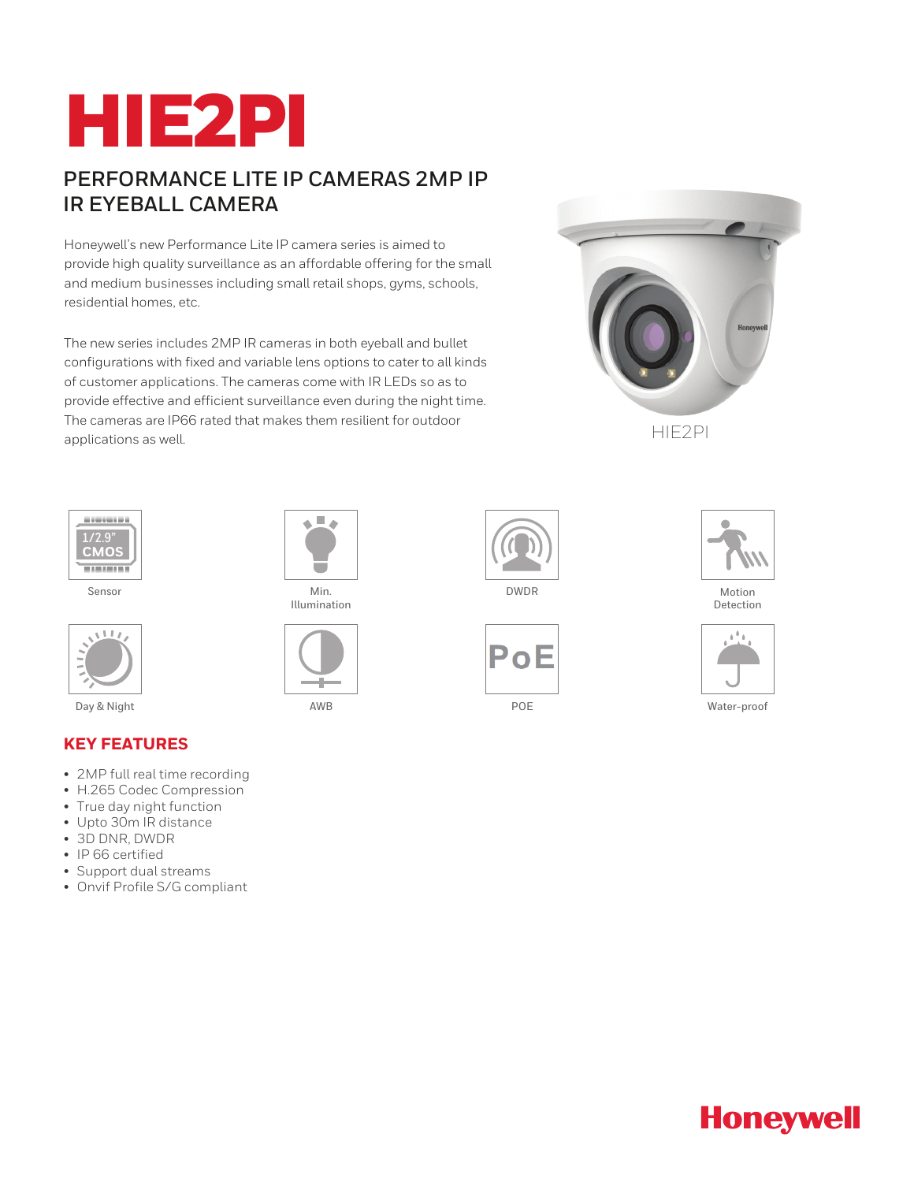# HIE2PI

# **PERFORMANCE LITE IP CAMERAS 2MP IP IR EYEBALL CAMERA**

Honeywell's new Performance Lite IP camera series is aimed to provide high quality surveillance as an affordable offering for the small and medium businesses including small retail shops, gyms, schools, residential homes, etc.

The new series includes 2MP IR cameras in both eyeball and bullet configurations with fixed and variable lens options to cater to all kinds of customer applications. The cameras come with IR LEDs so as to provide effective and efficient surveillance even during the night time. The cameras are IP66 rated that makes them resilient for outdoor applications as well.





Sensor



### **KEY FEATURES**

- 2MP full real time recording
- H.265 Codec Compression
- True day night function
- Upto 30m IR distance
- 3D DNR, DWDR
- IP 66 certified
- Support dual streams
- Onvif Profile S/G compliant



Min. Illumination







Detection



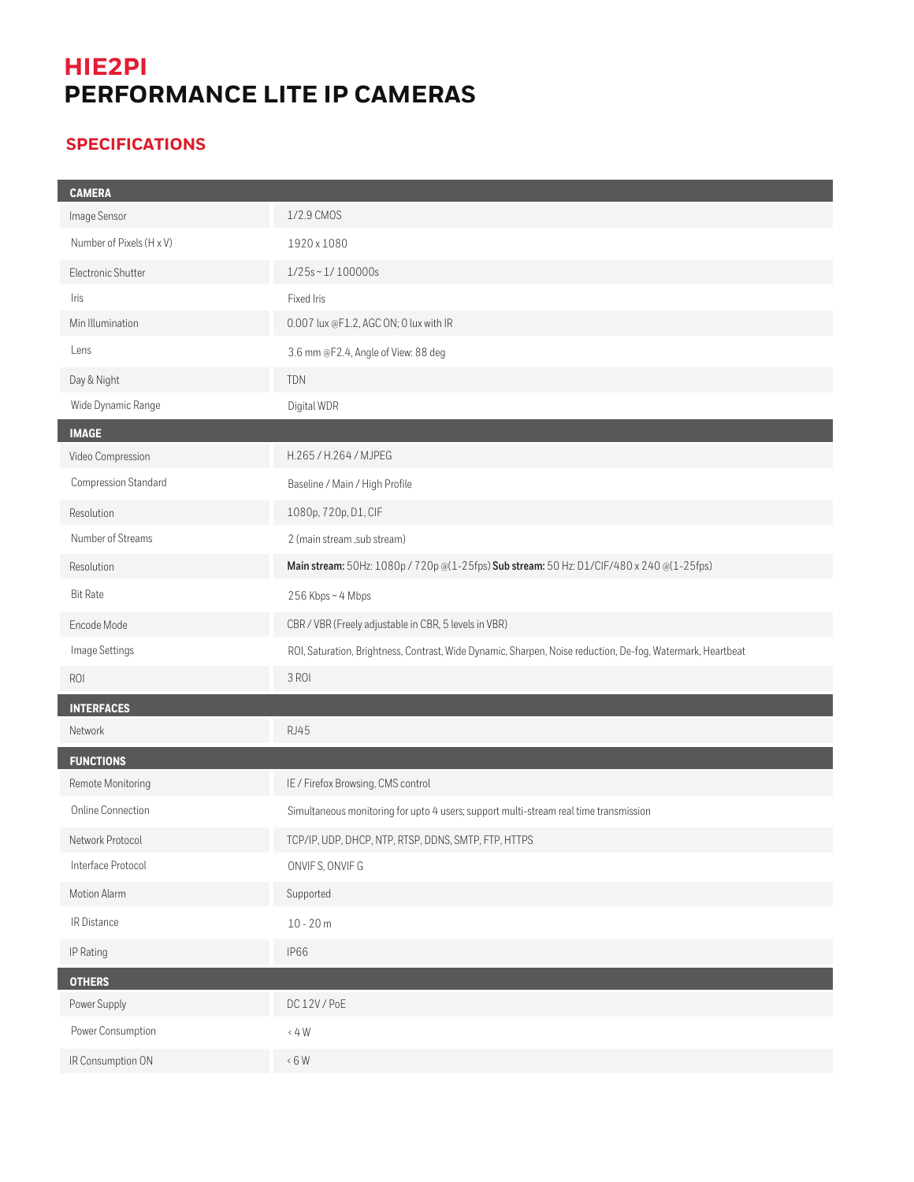# **HIE2PI PERFORMANCE LITE IP CAMERAS**

## **SPECIFICATIONS**

| <b>CAMERA</b>            |                                                                                                             |
|--------------------------|-------------------------------------------------------------------------------------------------------------|
| Image Sensor             | 1/2.9 CMOS                                                                                                  |
| Number of Pixels (H x V) | 1920 x 1080                                                                                                 |
| Electronic Shutter       | $1/25s \sim 1/100000s$                                                                                      |
| Iris                     | Fixed Iris                                                                                                  |
| Min Illumination         | 0.007 lux @F1.2, AGC ON; 0 lux with IR                                                                      |
| Lens                     | 3.6 mm @F2.4, Angle of View: 88 deg                                                                         |
| Day & Night              | TDN                                                                                                         |
| Wide Dynamic Range       | Digital WDR                                                                                                 |
| <b>IMAGE</b>             |                                                                                                             |
| Video Compression        | H.265 / H.264 / MJPEG                                                                                       |
| Compression Standard     | Baseline / Main / High Profile                                                                              |
| Resolution               | 1080p, 720p, D1, CIF                                                                                        |
| Number of Streams        | 2 (main stream, sub stream)                                                                                 |
| Resolution               | Main stream: 50Hz: 1080p / 720p @(1-25fps) Sub stream: 50 Hz: D1/CIF/480 x 240 @(1-25fps)                   |
| <b>Bit Rate</b>          | 256 Kbps~4 Mbps                                                                                             |
| Encode Mode              | CBR / VBR (Freely adjustable in CBR, 5 levels in VBR)                                                       |
| Image Settings           | ROI, Saturation, Brightness, Contrast, Wide Dynamic, Sharpen, Noise reduction, De-fog, Watermark, Heartbeat |
| ROI                      | 3 ROI                                                                                                       |
| <b>INTERFACES</b>        |                                                                                                             |
| Network                  | <b>RJ45</b>                                                                                                 |
| <b>FUNCTIONS</b>         |                                                                                                             |
| Remote Monitoring        | IE / Firefox Browsing, CMS control                                                                          |
| Online Connection        | Simultaneous monitoring for upto 4 users; support multi-stream real time transmission                       |
| Network Protocol         | TCP/IP, UDP, DHCP, NTP, RTSP, DDNS, SMTP, FTP, HTTPS                                                        |
| Interface Protocol       | ONVIFS, ONVIFG                                                                                              |
| Motion Alarm             | Supported                                                                                                   |
| IR Distance              | $10 - 20 m$                                                                                                 |
|                          |                                                                                                             |
| IP Rating                | <b>IP66</b>                                                                                                 |
| <b>OTHERS</b>            |                                                                                                             |
| Power Supply             | DC12V/PoE                                                                                                   |
| Power Consumption        | $\langle$ 4 W                                                                                               |